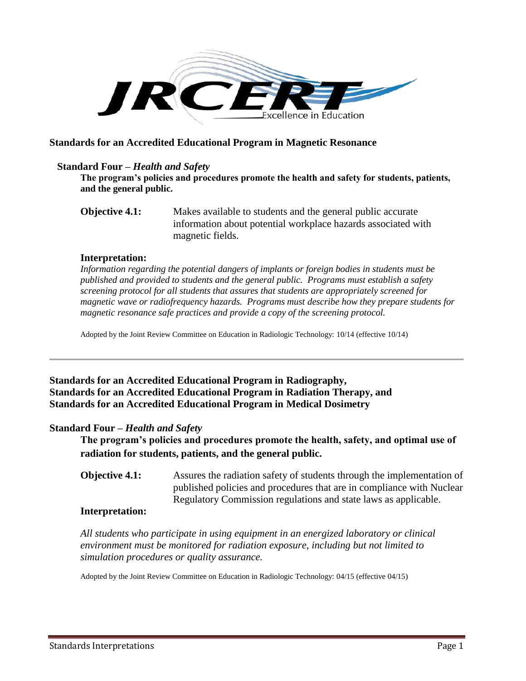

# **Standards for an Accredited Educational Program in Magnetic Resonance**

# **Standard Four –** *Health and Safety*

**The program's policies and procedures promote the health and safety for students, patients, and the general public.**

**Objective 4.1:** Makes available to students and the general public accurate information about potential workplace hazards associated with magnetic fields.

#### **Interpretation:**

*Information regarding the potential dangers of implants or foreign bodies in students must be published and provided to students and the general public. Programs must establish a safety screening protocol for all students that assures that students are appropriately screened for magnetic wave or radiofrequency hazards. Programs must describe how they prepare students for magnetic resonance safe practices and provide a copy of the screening protocol.* 

Adopted by the Joint Review Committee on Education in Radiologic Technology: 10/14 (effective 10/14)

**Standards for an Accredited Educational Program in Radiography, Standards for an Accredited Educational Program in Radiation Therapy, and Standards for an Accredited Educational Program in Medical Dosimetry**

### **Standard Four –** *Health and Safety*

**The program's policies and procedures promote the health, safety, and optimal use of radiation for students, patients, and the general public.** 

**Objective 4.1:** Assures the radiation safety of students through the implementation of published policies and procedures that are in compliance with Nuclear Regulatory Commission regulations and state laws as applicable.

# **Interpretation:**

*All students who participate in using equipment in an energized laboratory or clinical environment must be monitored for radiation exposure, including but not limited to simulation procedures or quality assurance.* 

Adopted by the Joint Review Committee on Education in Radiologic Technology: 04/15 (effective 04/15)